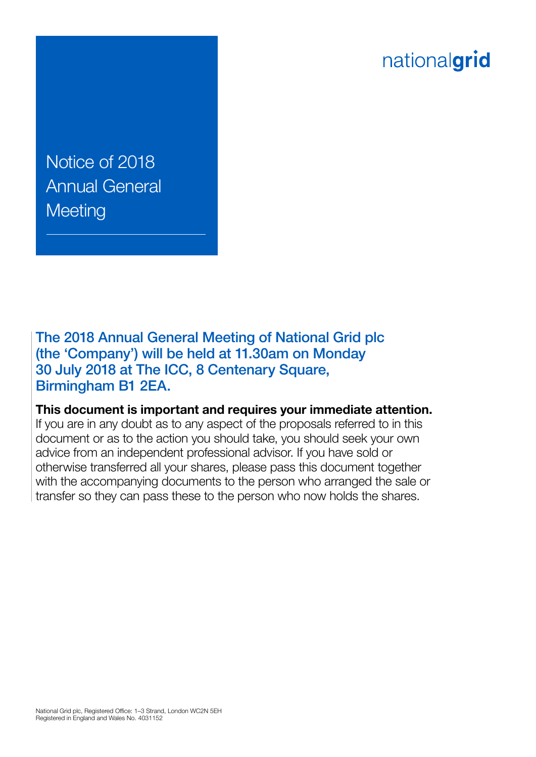# nationalgrid

Notice of 2018 Annual General **Meeting** 

The 2018 Annual General Meeting of National Grid plc (the 'Company') will be held at 11.30am on Monday 30 July 2018 at The ICC, 8 Centenary Square, Birmingham B1 2EA.

**This document is important and requires your immediate attention.** 

If you are in any doubt as to any aspect of the proposals referred to in this document or as to the action you should take, you should seek your own advice from an independent professional advisor. If you have sold or otherwise transferred all your shares, please pass this document together with the accompanying documents to the person who arranged the sale or transfer so they can pass these to the person who now holds the shares.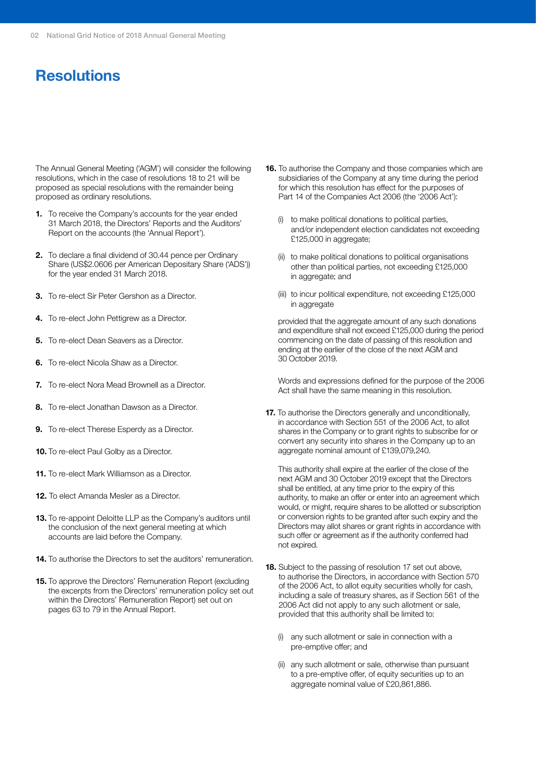# **Resolutions**

The Annual General Meeting ('AGM') will consider the following resolutions, which in the case of resolutions 18 to 21 will be proposed as special resolutions with the remainder being proposed as ordinary resolutions.

- **1.** To receive the Company's accounts for the year ended 31 March 2018, the Directors' Reports and the Auditors' Report on the accounts (the 'Annual Report').
- **2.** To declare a final dividend of 30.44 pence per Ordinary Share (US\$2.0606 per American Depositary Share ('ADS')) for the year ended 31 March 2018.
- **3.** To re-elect Sir Peter Gershon as a Director.
- **4.** To re-elect John Pettigrew as a Director.
- **5.** To re-elect Dean Seavers as a Director.
- **6.** To re-elect Nicola Shaw as a Director.
- **7.** To re-elect Nora Mead Brownell as a Director.
- **8.** To re-elect Jonathan Dawson as a Director.
- **9.** To re-elect Therese Esperdy as a Director.
- **10.** To re-elect Paul Golby as a Director.
- **11.** To re-elect Mark Williamson as a Director.
- **12.** To elect Amanda Mesler as a Director.
- **13.** To re-appoint Deloitte LLP as the Company's auditors until the conclusion of the next general meeting at which accounts are laid before the Company.
- **14.** To authorise the Directors to set the auditors' remuneration.
- **15.** To approve the Directors' Remuneration Report (excluding the excerpts from the Directors' remuneration policy set out within the Directors' Remuneration Report) set out on pages 63 to 79 in the Annual Report.
- **16.** To authorise the Company and those companies which are subsidiaries of the Company at any time during the period for which this resolution has effect for the purposes of Part 14 of the Companies Act 2006 (the '2006 Act'):
	- (i) to make political donations to political parties, and/or independent election candidates not exceeding £125,000 in aggregate;
	- (ii) to make political donations to political organisations other than political parties, not exceeding £125,000 in aggregate; and
	- (iii) to incur political expenditure, not exceeding £125,000 in aggregate

provided that the aggregate amount of any such donations and expenditure shall not exceed £125,000 during the period commencing on the date of passing of this resolution and ending at the earlier of the close of the next AGM and 30 October 2019.

Words and expressions defined for the purpose of the 2006 Act shall have the same meaning in this resolution.

**17.** To authorise the Directors generally and unconditionally, in accordance with Section 551 of the 2006 Act, to allot shares in the Company or to grant rights to subscribe for or convert any security into shares in the Company up to an aggregate nominal amount of £139,079,240.

This authority shall expire at the earlier of the close of the next AGM and 30 October 2019 except that the Directors shall be entitled, at any time prior to the expiry of this authority, to make an offer or enter into an agreement which would, or might, require shares to be allotted or subscription or conversion rights to be granted after such expiry and the Directors may allot shares or grant rights in accordance with such offer or agreement as if the authority conferred had not expired.

- **18.** Subject to the passing of resolution 17 set out above, to authorise the Directors, in accordance with Section 570 of the 2006 Act, to allot equity securities wholly for cash, including a sale of treasury shares, as if Section 561 of the 2006 Act did not apply to any such allotment or sale, provided that this authority shall be limited to:
	- (i) any such allotment or sale in connection with a pre-emptive offer; and
	- (ii) any such allotment or sale, otherwise than pursuant to a pre-emptive offer, of equity securities up to an aggregate nominal value of £20,861,886.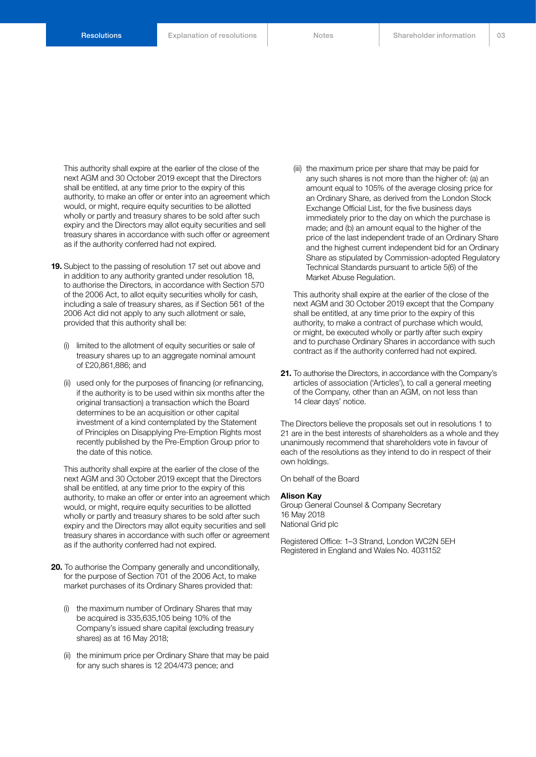This authority shall expire at the earlier of the close of the next AGM and 30 October 2019 except that the Directors shall be entitled, at any time prior to the expiry of this authority, to make an offer or enter into an agreement which would, or might, require equity securities to be allotted wholly or partly and treasury shares to be sold after such expiry and the Directors may allot equity securities and sell treasury shares in accordance with such offer or agreement as if the authority conferred had not expired.

- **19.** Subject to the passing of resolution 17 set out above and in addition to any authority granted under resolution 18, to authorise the Directors, in accordance with Section 570 of the 2006 Act, to allot equity securities wholly for cash, including a sale of treasury shares, as if Section 561 of the 2006 Act did not apply to any such allotment or sale, provided that this authority shall be:
	- (i) limited to the allotment of equity securities or sale of treasury shares up to an aggregate nominal amount of £20,861,886; and
	- (ii) used only for the purposes of financing (or refinancing, if the authority is to be used within six months after the original transaction) a transaction which the Board determines to be an acquisition or other capital investment of a kind contemplated by the Statement of Principles on Disapplying Pre-Emption Rights most recently published by the Pre-Emption Group prior to the date of this notice.

This authority shall expire at the earlier of the close of the next AGM and 30 October 2019 except that the Directors shall be entitled, at any time prior to the expiry of this authority, to make an offer or enter into an agreement which would, or might, require equity securities to be allotted wholly or partly and treasury shares to be sold after such expiry and the Directors may allot equity securities and sell treasury shares in accordance with such offer or agreement as if the authority conferred had not expired.

- **20.** To authorise the Company generally and unconditionally, for the purpose of Section 701 of the 2006 Act, to make market purchases of its Ordinary Shares provided that:
	- (i) the maximum number of Ordinary Shares that may be acquired is 335,635,105 being 10% of the Company's issued share capital (excluding treasury shares) as at 16 May 2018;
	- (ii) the minimum price per Ordinary Share that may be paid for any such shares is 12 204/473 pence; and

(iii) the maximum price per share that may be paid for any such shares is not more than the higher of: (a) an amount equal to 105% of the average closing price for an Ordinary Share, as derived from the London Stock Exchange Official List, for the five business days immediately prior to the day on which the purchase is made; and (b) an amount equal to the higher of the price of the last independent trade of an Ordinary Share and the highest current independent bid for an Ordinary Share as stipulated by Commission-adopted Regulatory Technical Standards pursuant to article 5(6) of the Market Abuse Regulation.

This authority shall expire at the earlier of the close of the next AGM and 30 October 2019 except that the Company shall be entitled, at any time prior to the expiry of this authority, to make a contract of purchase which would, or might, be executed wholly or partly after such expiry and to purchase Ordinary Shares in accordance with such contract as if the authority conferred had not expired.

**21.** To authorise the Directors, in accordance with the Company's articles of association ('Articles'), to call a general meeting of the Company, other than an AGM, on not less than 14 clear days' notice.

The Directors believe the proposals set out in resolutions 1 to 21 are in the best interests of shareholders as a whole and they unanimously recommend that shareholders vote in favour of each of the resolutions as they intend to do in respect of their own holdings.

On behalf of the Board

#### **Alison Kay**

Group General Counsel & Company Secretary 16 May 2018 National Grid plc

Registered Office: 1–3 Strand, London WC2N 5EH Registered in England and Wales No. 4031152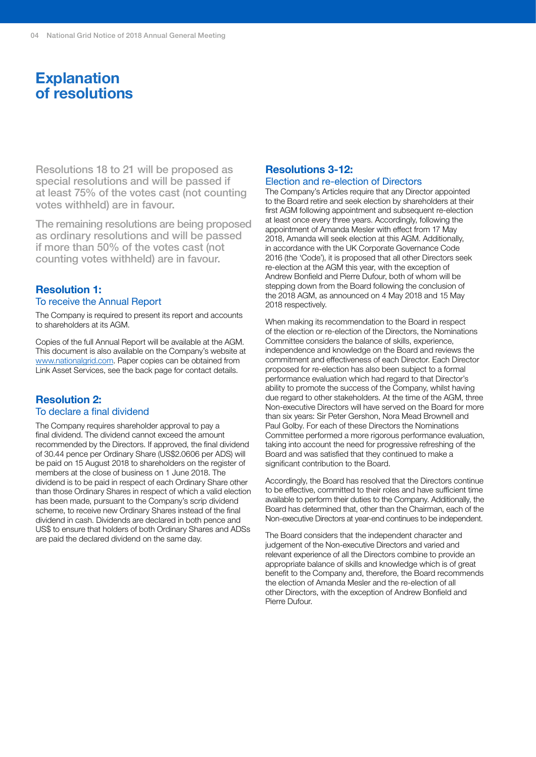# **Explanation of resolutions**

Resolutions 18 to 21 will be proposed as special resolutions and will be passed if at least 75% of the votes cast (not counting votes withheld) are in favour.

The remaining resolutions are being proposed as ordinary resolutions and will be passed if more than 50% of the votes cast (not counting votes withheld) are in favour.

#### **Resolution 1:** To receive the Annual Report

The Company is required to present its report and accounts to shareholders at its AGM.

Copies of the full Annual Report will be available at the AGM. This document is also available on the Company's website at [www.nationalgrid.com.](http://www.nationalgrid.com) Paper copies can be obtained from Link Asset Services, see the back page for contact details.

#### **Resolution 2:** To declare a final dividend

The Company requires shareholder approval to pay a final dividend. The dividend cannot exceed the amount recommended by the Directors. If approved, the final dividend of 30.44 pence per Ordinary Share (US\$2.0606 per ADS) will be paid on 15 August 2018 to shareholders on the register of members at the close of business on 1 June 2018. The dividend is to be paid in respect of each Ordinary Share other than those Ordinary Shares in respect of which a valid election has been made, pursuant to the Company's scrip dividend scheme, to receive new Ordinary Shares instead of the final dividend in cash. Dividends are declared in both pence and US\$ to ensure that holders of both Ordinary Shares and ADSs are paid the declared dividend on the same day.

#### **Resolutions 3-12:**

#### Election and re-election of Directors

The Company's Articles require that any Director appointed to the Board retire and seek election by shareholders at their first AGM following appointment and subsequent re-election at least once every three years. Accordingly, following the appointment of Amanda Mesler with effect from 17 May 2018, Amanda will seek election at this AGM. Additionally, in accordance with the UK Corporate Governance Code 2016 (the 'Code'), it is proposed that all other Directors seek re-election at the AGM this year, with the exception of Andrew Bonfield and Pierre Dufour, both of whom will be stepping down from the Board following the conclusion of the 2018 AGM, as announced on 4 May 2018 and 15 May 2018 respectively.

When making its recommendation to the Board in respect of the election or re-election of the Directors, the Nominations Committee considers the balance of skills, experience, independence and knowledge on the Board and reviews the commitment and effectiveness of each Director. Each Director proposed for re-election has also been subject to a formal performance evaluation which had regard to that Director's ability to promote the success of the Company, whilst having due regard to other stakeholders. At the time of the AGM, three Non-executive Directors will have served on the Board for more than six years: Sir Peter Gershon, Nora Mead Brownell and Paul Golby. For each of these Directors the Nominations Committee performed a more rigorous performance evaluation, taking into account the need for progressive refreshing of the Board and was satisfied that they continued to make a significant contribution to the Board.

Accordingly, the Board has resolved that the Directors continue to be effective, committed to their roles and have sufficient time available to perform their duties to the Company. Additionally, the Board has determined that, other than the Chairman, each of the Non-executive Directors at year-end continues to be independent.

The Board considers that the independent character and judgement of the Non-executive Directors and varied and relevant experience of all the Directors combine to provide an appropriate balance of skills and knowledge which is of great benefit to the Company and, therefore, the Board recommends the election of Amanda Mesler and the re-election of all other Directors, with the exception of Andrew Bonfield and Pierre Dufour.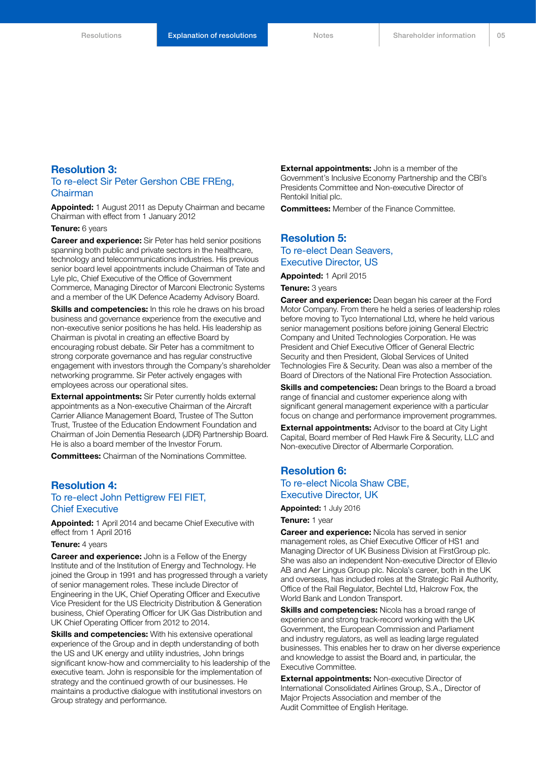#### **Resolution 3:**

#### To re-elect Sir Peter Gershon CBE FREng, Chairman

**Appointed:** 1 August 2011 as Deputy Chairman and became Chairman with effect from 1 January 2012

**Tenure:** 6 years

**Career and experience:** Sir Peter has held senior positions spanning both public and private sectors in the healthcare, technology and telecommunications industries. His previous senior board level appointments include Chairman of Tate and Lyle plc, Chief Executive of the Office of Government Commerce, Managing Director of Marconi Electronic Systems and a member of the UK Defence Academy Advisory Board.

**Skills and competencies:** In this role he draws on his broad business and governance experience from the executive and non-executive senior positions he has held. His leadership as Chairman is pivotal in creating an effective Board by encouraging robust debate. Sir Peter has a commitment to strong corporate governance and has regular constructive engagement with investors through the Company's shareholder networking programme. Sir Peter actively engages with employees across our operational sites.

**External appointments:** Sir Peter currently holds external appointments as a Non-executive Chairman of the Aircraft Carrier Alliance Management Board, Trustee of The Sutton Trust, Trustee of the Education Endowment Foundation and Chairman of Join Dementia Research (JDR) Partnership Board. He is also a board member of the Investor Forum.

**Committees:** Chairman of the Nominations Committee.

#### **Resolution 4:** To re-elect John Pettigrew FEI FIET, Chief Executive

**Appointed:** 1 April 2014 and became Chief Executive with effect from 1 April 2016

#### **Tenure:** 4 years

**Career and experience:** John is a Fellow of the Energy Institute and of the Institution of Energy and Technology. He joined the Group in 1991 and has progressed through a variety of senior management roles. These include Director of Engineering in the UK, Chief Operating Officer and Executive Vice President for the US Electricity Distribution & Generation business, Chief Operating Officer for UK Gas Distribution and UK Chief Operating Officer from 2012 to 2014.

**Skills and competencies:** With his extensive operational experience of the Group and in depth understanding of both the US and UK energy and utility industries, John brings significant know-how and commerciality to his leadership of the executive team. John is responsible for the implementation of strategy and the continued growth of our businesses. He maintains a productive dialogue with institutional investors on Group strategy and performance.

**External appointments:** John is a member of the Government's Inclusive Economy Partnership and the CBI's Presidents Committee and Non-executive Director of Rentokil Initial plc.

**Committees:** Member of the Finance Committee.

#### **Resolution 5:** To re-elect Dean Seavers, Executive Director, US

**Appointed:** 1 April 2015

**Tenure:** 3 years

**Career and experience:** Dean began his career at the Ford Motor Company. From there he held a series of leadership roles before moving to Tyco International Ltd, where he held various senior management positions before joining General Electric Company and United Technologies Corporation. He was President and Chief Executive Officer of General Electric Security and then President, Global Services of United Technologies Fire & Security. Dean was also a member of the Board of Directors of the National Fire Protection Association.

**Skills and competencies:** Dean brings to the Board a broad range of financial and customer experience along with significant general management experience with a particular focus on change and performance improvement programmes.

**External appointments:** Advisor to the board at City Light Capital, Board member of Red Hawk Fire & Security, LLC and Non-executive Director of Albermarle Corporation.

#### **Resolution 6:** To re-elect Nicola Shaw CBE, Executive Director, UK

**Appointed:** 1 July 2016

**Tenure:** 1 year

**Career and experience:** Nicola has served in senior management roles, as Chief Executive Officer of HS1 and Managing Director of UK Business Division at FirstGroup plc. She was also an independent Non-executive Director of Ellevio AB and Aer Lingus Group plc. Nicola's career, both in the UK and overseas, has included roles at the Strategic Rail Authority, Office of the Rail Regulator, Bechtel Ltd, Halcrow Fox, the World Bank and London Transport.

**Skills and competencies:** Nicola has a broad range of experience and strong track-record working with the UK Government, the European Commission and Parliament and industry regulators, as well as leading large regulated businesses. This enables her to draw on her diverse experience and knowledge to assist the Board and, in particular, the Executive Committee.

**External appointments: Non-executive Director of** International Consolidated Airlines Group, S.A., Director of Major Projects Association and member of the Audit Committee of English Heritage.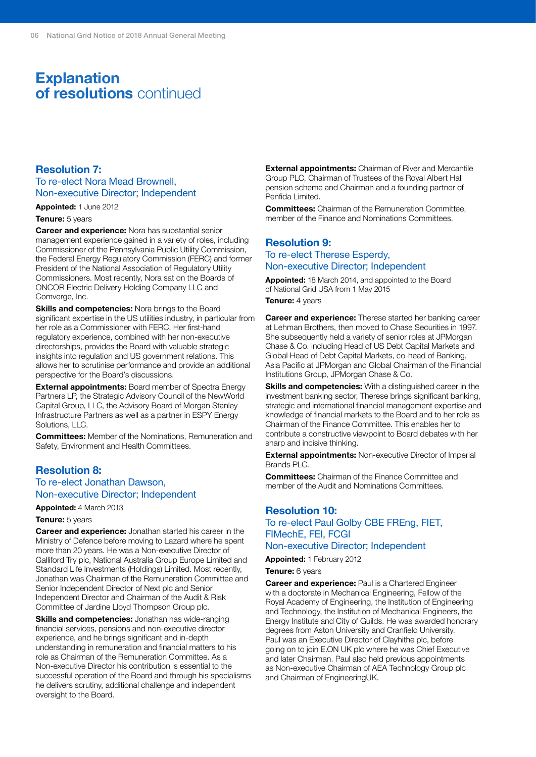# **Explanation of resolutions** continued

#### **Resolution 7:**

To re-elect Nora Mead Brownell, Non-executive Director; Independent

**Appointed:** 1 June 2012

#### **Tenure:** 5 years

**Career and experience:** Nora has substantial senior management experience gained in a variety of roles, including Commissioner of the Pennsylvania Public Utility Commission, the Federal Energy Regulatory Commission (FERC) and former President of the National Association of Regulatory Utility Commissioners. Most recently, Nora sat on the Boards of ONCOR Electric Delivery Holding Company LLC and Comverge, Inc.

**Skills and competencies:** Nora brings to the Board significant expertise in the US utilities industry, in particular from her role as a Commissioner with FERC. Her first-hand regulatory experience, combined with her non-executive directorships, provides the Board with valuable strategic insights into regulation and US government relations. This allows her to scrutinise performance and provide an additional perspective for the Board's discussions.

**External appointments:** Board member of Spectra Energy Partners LP, the Strategic Advisory Council of the NewWorld Capital Group, LLC, the Advisory Board of Morgan Stanley Infrastructure Partners as well as a partner in ESPY Energy Solutions, LLC.

**Committees:** Member of the Nominations, Remuneration and Safety, Environment and Health Committees.

#### **Resolution 8:**

#### To re-elect Jonathan Dawson, Non-executive Director; Independent

**Appointed:** 4 March 2013

#### **Tenure:** 5 years

**Career and experience:** Jonathan started his career in the Ministry of Defence before moving to Lazard where he spent more than 20 years. He was a Non-executive Director of Galliford Try plc, National Australia Group Europe Limited and Standard Life Investments (Holdings) Limited. Most recently, Jonathan was Chairman of the Remuneration Committee and Senior Independent Director of Next plc and Senior Independent Director and Chairman of the Audit & Risk Committee of Jardine Lloyd Thompson Group plc.

**Skills and competencies:** Jonathan has wide-ranging financial services, pensions and non-executive director experience, and he brings significant and in-depth understanding in remuneration and financial matters to his role as Chairman of the Remuneration Committee. As a Non-executive Director his contribution is essential to the successful operation of the Board and through his specialisms he delivers scrutiny, additional challenge and independent oversight to the Board.

**External appointments:** Chairman of River and Mercantile Group PLC, Chairman of Trustees of the Royal Albert Hall pension scheme and Chairman and a founding partner of Penfida Limited.

**Committees:** Chairman of the Remuneration Committee, member of the Finance and Nominations Committees.

#### **Resolution 9:** To re-elect Therese Esperdy, Non-executive Director; Independent

**Appointed:** 18 March 2014, and appointed to the Board of National Grid USA from 1 May 2015

**Tenure:** 4 years

**Career and experience:** Therese started her banking career at Lehman Brothers, then moved to Chase Securities in 1997. She subsequently held a variety of senior roles at JPMorgan Chase & Co. including Head of US Debt Capital Markets and Global Head of Debt Capital Markets, co-head of Banking, Asia Pacific at JPMorgan and Global Chairman of the Financial Institutions Group, JPMorgan Chase & Co.

**Skills and competencies:** With a distinguished career in the investment banking sector, Therese brings significant banking, strategic and international financial management expertise and knowledge of financial markets to the Board and to her role as Chairman of the Finance Committee. This enables her to contribute a constructive viewpoint to Board debates with her sharp and incisive thinking.

**External appointments:** Non-executive Director of Imperial Brands PLC.

**Committees:** Chairman of the Finance Committee and member of the Audit and Nominations Committees.

#### **Resolution 10:** To re-elect Paul Golby CBE FREng, FIET, FIMechE, FEI, FCGI Non-executive Director; Independent

### **Appointed:** 1 February 2012

**Tenure:** 6 years

**Career and experience:** Paul is a Chartered Engineer with a doctorate in Mechanical Engineering, Fellow of the Royal Academy of Engineering, the Institution of Engineering and Technology, the Institution of Mechanical Engineers, the Energy Institute and City of Guilds. He was awarded honorary degrees from Aston University and Cranfield University. Paul was an Executive Director of Clayhithe plc, before going on to join E.ON UK plc where he was Chief Executive and later Chairman. Paul also held previous appointments as Non-executive Chairman of AEA Technology Group plc and Chairman of EngineeringUK.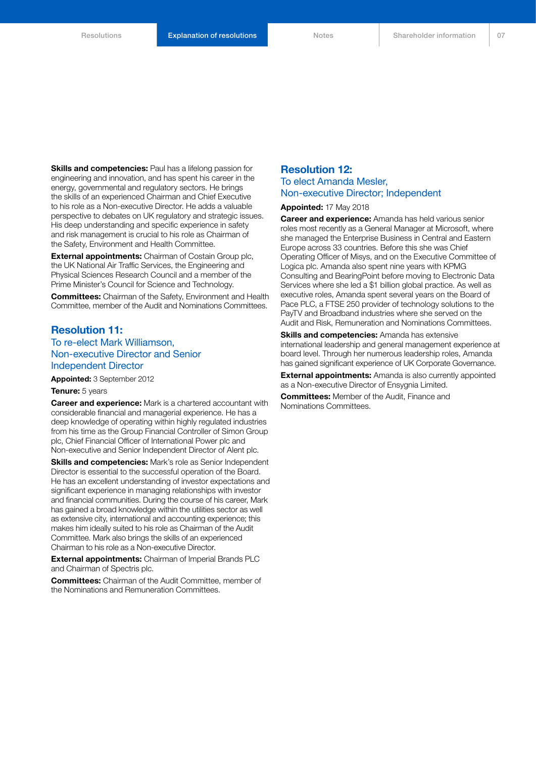**Skills and competencies:** Paul has a lifelong passion for engineering and innovation, and has spent his career in the energy, governmental and regulatory sectors. He brings the skills of an experienced Chairman and Chief Executive to his role as a Non-executive Director. He adds a valuable perspective to debates on UK regulatory and strategic issues. His deep understanding and specific experience in safety and risk management is crucial to his role as Chairman of the Safety, Environment and Health Committee.

**External appointments:** Chairman of Costain Group plc, the UK National Air Traffic Services, the Engineering and Physical Sciences Research Council and a member of the Prime Minister's Council for Science and Technology.

**Committees:** Chairman of the Safety, Environment and Health Committee, member of the Audit and Nominations Committees.

#### **Resolution 11:**

To re-elect Mark Williamson, Non-executive Director and Senior Independent Director

**Appointed:** 3 September 2012 **Tenure:** 5 years

**Career and experience:** Mark is a chartered accountant with considerable financial and managerial experience. He has a deep knowledge of operating within highly regulated industries from his time as the Group Financial Controller of Simon Group plc, Chief Financial Officer of International Power plc and Non-executive and Senior Independent Director of Alent plc.

**Skills and competencies:** Mark's role as Senior Independent Director is essential to the successful operation of the Board. He has an excellent understanding of investor expectations and significant experience in managing relationships with investor and financial communities. During the course of his career, Mark has gained a broad knowledge within the utilities sector as well as extensive city, international and accounting experience; this makes him ideally suited to his role as Chairman of the Audit Committee. Mark also brings the skills of an experienced Chairman to his role as a Non-executive Director.

**External appointments:** Chairman of Imperial Brands PLC and Chairman of Spectris plc.

**Committees:** Chairman of the Audit Committee, member of the Nominations and Remuneration Committees.

#### **Resolution 12:**

#### To elect Amanda Mesler, Non-executive Director; Independent

**Appointed:** 17 May 2018

**Career and experience:** Amanda has held various senior roles most recently as a General Manager at Microsoft, where she managed the Enterprise Business in Central and Eastern Europe across 33 countries. Before this she was Chief Operating Officer of Misys, and on the Executive Committee of Logica plc. Amanda also spent nine years with KPMG Consulting and BearingPoint before moving to Electronic Data Services where she led a \$1 billion global practice. As well as executive roles, Amanda spent several years on the Board of Pace PLC, a FTSE 250 provider of technology solutions to the PayTV and Broadband industries where she served on the Audit and Risk, Remuneration and Nominations Committees.

**Skills and competencies:** Amanda has extensive international leadership and general management experience at board level. Through her numerous leadership roles, Amanda has gained significant experience of UK Corporate Governance.

**External appointments:** Amanda is also currently appointed as a Non-executive Director of Ensygnia Limited.

**Committees:** Member of the Audit, Finance and Nominations Committees.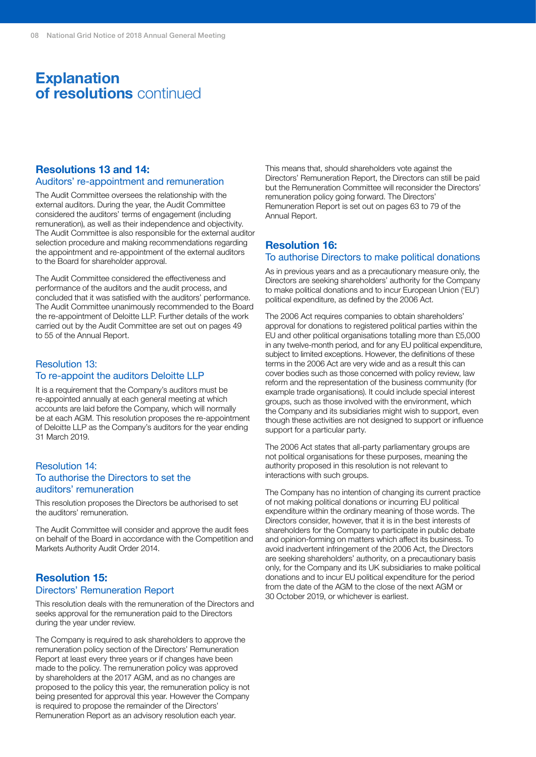## **Explanation of resolutions** continued

#### **Resolutions 13 and 14:**

#### Auditors' re-appointment and remuneration

The Audit Committee oversees the relationship with the external auditors. During the year, the Audit Committee considered the auditors' terms of engagement (including remuneration), as well as their independence and objectivity. The Audit Committee is also responsible for the external auditor selection procedure and making recommendations regarding the appointment and re-appointment of the external auditors to the Board for shareholder approval.

The Audit Committee considered the effectiveness and performance of the auditors and the audit process, and concluded that it was satisfied with the auditors' performance. The Audit Committee unanimously recommended to the Board the re-appointment of Deloitte LLP. Further details of the work carried out by the Audit Committee are set out on pages 49 to 55 of the Annual Report.

#### Resolution 13: To re-appoint the auditors Deloitte LLP

It is a requirement that the Company's auditors must be re-appointed annually at each general meeting at which accounts are laid before the Company, which will normally be at each AGM. This resolution proposes the re-appointment of Deloitte LLP as the Company's auditors for the year ending 31 March 2019.

#### Resolution 14: To authorise the Directors to set the auditors' remuneration

This resolution proposes the Directors be authorised to set the auditors' remuneration.

The Audit Committee will consider and approve the audit fees on behalf of the Board in accordance with the Competition and Markets Authority Audit Order 2014.

#### **Resolution 15:** Directors' Remuneration Report

This resolution deals with the remuneration of the Directors and seeks approval for the remuneration paid to the Directors during the year under review.

The Company is required to ask shareholders to approve the remuneration policy section of the Directors' Remuneration Report at least every three years or if changes have been made to the policy. The remuneration policy was approved by shareholders at the 2017 AGM, and as no changes are proposed to the policy this year, the remuneration policy is not being presented for approval this year. However the Company is required to propose the remainder of the Directors' Remuneration Report as an advisory resolution each year.

This means that, should shareholders vote against the Directors' Remuneration Report, the Directors can still be paid but the Remuneration Committee will reconsider the Directors' remuneration policy going forward. The Directors' Remuneration Report is set out on pages 63 to 79 of the Annual Report.

#### **Resolution 16:** To authorise Directors to make political donations

As in previous years and as a precautionary measure only, the Directors are seeking shareholders' authority for the Company to make political donations and to incur European Union ('EU') political expenditure, as defined by the 2006 Act.

The 2006 Act requires companies to obtain shareholders' approval for donations to registered political parties within the EU and other political organisations totalling more than £5,000 in any twelve-month period, and for any EU political expenditure, subject to limited exceptions. However, the definitions of these terms in the 2006 Act are very wide and as a result this can cover bodies such as those concerned with policy review, law reform and the representation of the business community (for example trade organisations). It could include special interest groups, such as those involved with the environment, which the Company and its subsidiaries might wish to support, even though these activities are not designed to support or influence support for a particular party.

The 2006 Act states that all-party parliamentary groups are not political organisations for these purposes, meaning the authority proposed in this resolution is not relevant to interactions with such groups.

The Company has no intention of changing its current practice of not making political donations or incurring EU political expenditure within the ordinary meaning of those words. The Directors consider, however, that it is in the best interests of shareholders for the Company to participate in public debate and opinion-forming on matters which affect its business. To avoid inadvertent infringement of the 2006 Act, the Directors are seeking shareholders' authority, on a precautionary basis only, for the Company and its UK subsidiaries to make political donations and to incur EU political expenditure for the period from the date of the AGM to the close of the next AGM or 30 October 2019, or whichever is earliest.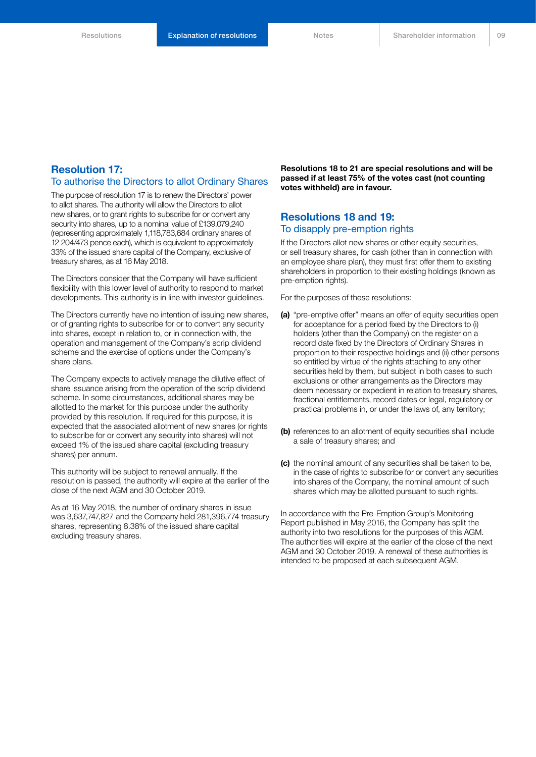#### **Resolution 17:** To authorise the Directors to allot Ordinary Shares

The purpose of resolution 17 is to renew the Directors' power to allot shares. The authority will allow the Directors to allot new shares, or to grant rights to subscribe for or convert any security into shares, up to a nominal value of £139,079,240 (representing approximately 1,118,783,684 ordinary shares of 12 204/473 pence each), which is equivalent to approximately 33% of the issued share capital of the Company, exclusive of treasury shares, as at 16 May 2018.

The Directors consider that the Company will have sufficient flexibility with this lower level of authority to respond to market developments. This authority is in line with investor guidelines.

The Directors currently have no intention of issuing new shares, or of granting rights to subscribe for or to convert any security into shares, except in relation to, or in connection with, the operation and management of the Company's scrip dividend scheme and the exercise of options under the Company's share plans.

The Company expects to actively manage the dilutive effect of share issuance arising from the operation of the scrip dividend scheme. In some circumstances, additional shares may be allotted to the market for this purpose under the authority provided by this resolution. If required for this purpose, it is expected that the associated allotment of new shares (or rights to subscribe for or convert any security into shares) will not exceed 1% of the issued share capital (excluding treasury shares) per annum.

This authority will be subject to renewal annually. If the resolution is passed, the authority will expire at the earlier of the close of the next AGM and 30 October 2019.

As at 16 May 2018, the number of ordinary shares in issue was 3,637,747,827 and the Company held 281,396,774 treasury shares, representing 8.38% of the issued share capital excluding treasury shares.

**Resolutions 18 to 21 are special resolutions and will be passed if at least 75% of the votes cast (not counting votes withheld) are in favour.**

#### **Resolutions 18 and 19:** To disapply pre-emption rights

If the Directors allot new shares or other equity securities, or sell treasury shares, for cash (other than in connection with an employee share plan), they must first offer them to existing shareholders in proportion to their existing holdings (known as pre-emption rights).

For the purposes of these resolutions:

- **(a)** "pre-emptive offer" means an offer of equity securities open for acceptance for a period fixed by the Directors to (i) holders (other than the Company) on the register on a record date fixed by the Directors of Ordinary Shares in proportion to their respective holdings and (ii) other persons so entitled by virtue of the rights attaching to any other securities held by them, but subject in both cases to such exclusions or other arrangements as the Directors may deem necessary or expedient in relation to treasury shares, fractional entitlements, record dates or legal, regulatory or practical problems in, or under the laws of, any territory;
- **(b)** references to an allotment of equity securities shall include a sale of treasury shares; and
- **(c)** the nominal amount of any securities shall be taken to be, in the case of rights to subscribe for or convert any securities into shares of the Company, the nominal amount of such shares which may be allotted pursuant to such rights.

In accordance with the Pre-Emption Group's Monitoring Report published in May 2016, the Company has split the authority into two resolutions for the purposes of this AGM. The authorities will expire at the earlier of the close of the next AGM and 30 October 2019. A renewal of these authorities is intended to be proposed at each subsequent AGM.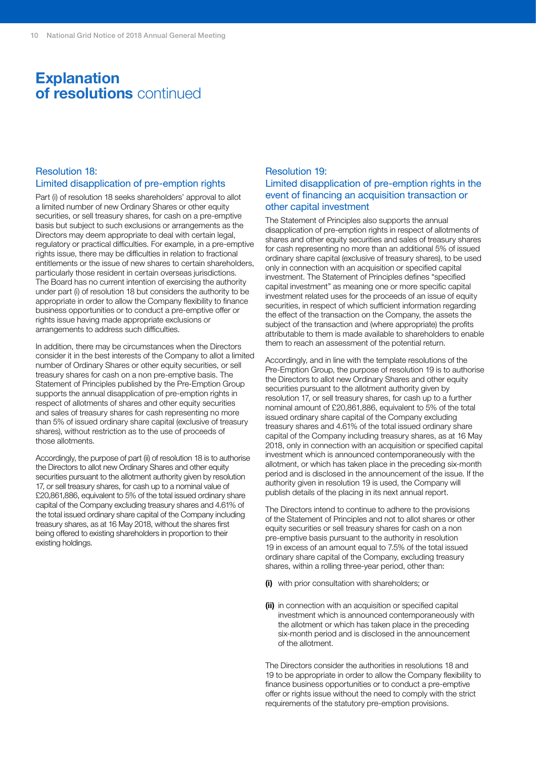### **Explanation of resolutions** continued

#### Resolution 18: Limited disapplication of pre-emption rights

Part (i) of resolution 18 seeks shareholders' approval to allot a limited number of new Ordinary Shares or other equity securities, or sell treasury shares, for cash on a pre-emptive basis but subject to such exclusions or arrangements as the Directors may deem appropriate to deal with certain legal, regulatory or practical difficulties. For example, in a pre-emptive rights issue, there may be difficulties in relation to fractional entitlements or the issue of new shares to certain shareholders, particularly those resident in certain overseas jurisdictions. The Board has no current intention of exercising the authority under part (i) of resolution 18 but considers the authority to be appropriate in order to allow the Company flexibility to finance business opportunities or to conduct a pre-emptive offer or rights issue having made appropriate exclusions or arrangements to address such difficulties.

In addition, there may be circumstances when the Directors consider it in the best interests of the Company to allot a limited number of Ordinary Shares or other equity securities, or sell treasury shares for cash on a non pre-emptive basis. The Statement of Principles published by the Pre-Emption Group supports the annual disapplication of pre-emption rights in respect of allotments of shares and other equity securities and sales of treasury shares for cash representing no more than 5% of issued ordinary share capital (exclusive of treasury shares), without restriction as to the use of proceeds of those allotments.

Accordingly, the purpose of part (ii) of resolution 18 is to authorise the Directors to allot new Ordinary Shares and other equity securities pursuant to the allotment authority given by resolution 17, or sell treasury shares, for cash up to a nominal value of £20,861,886, equivalent to 5% of the total issued ordinary share capital of the Company excluding treasury shares and 4.61% of the total issued ordinary share capital of the Company including treasury shares, as at 16 May 2018, without the shares first being offered to existing shareholders in proportion to their existing holdings.

#### Resolution 19: Limited disapplication of pre-emption rights in the event of financing an acquisition transaction or other capital investment

The Statement of Principles also supports the annual disapplication of pre-emption rights in respect of allotments of shares and other equity securities and sales of treasury shares for cash representing no more than an additional 5% of issued ordinary share capital (exclusive of treasury shares), to be used only in connection with an acquisition or specified capital investment. The Statement of Principles defines "specified capital investment" as meaning one or more specific capital investment related uses for the proceeds of an issue of equity securities, in respect of which sufficient information regarding the effect of the transaction on the Company, the assets the subject of the transaction and (where appropriate) the profits attributable to them is made available to shareholders to enable them to reach an assessment of the potential return.

Accordingly, and in line with the template resolutions of the Pre-Emption Group, the purpose of resolution 19 is to authorise the Directors to allot new Ordinary Shares and other equity securities pursuant to the allotment authority given by resolution 17, or sell treasury shares, for cash up to a further nominal amount of £20,861,886, equivalent to 5% of the total issued ordinary share capital of the Company excluding treasury shares and 4.61% of the total issued ordinary share capital of the Company including treasury shares, as at 16 May 2018, only in connection with an acquisition or specified capital investment which is announced contemporaneously with the allotment, or which has taken place in the preceding six-month period and is disclosed in the announcement of the issue. If the authority given in resolution 19 is used, the Company will publish details of the placing in its next annual report.

The Directors intend to continue to adhere to the provisions of the Statement of Principles and not to allot shares or other equity securities or sell treasury shares for cash on a non pre-emptive basis pursuant to the authority in resolution 19 in excess of an amount equal to 7.5% of the total issued ordinary share capital of the Company, excluding treasury shares, within a rolling three-year period, other than:

- **(i)** with prior consultation with shareholders; or
- **(ii)** in connection with an acquisition or specified capital investment which is announced contemporaneously with the allotment or which has taken place in the preceding six-month period and is disclosed in the announcement of the allotment.

The Directors consider the authorities in resolutions 18 and 19 to be appropriate in order to allow the Company flexibility to finance business opportunities or to conduct a pre-emptive offer or rights issue without the need to comply with the strict requirements of the statutory pre-emption provisions.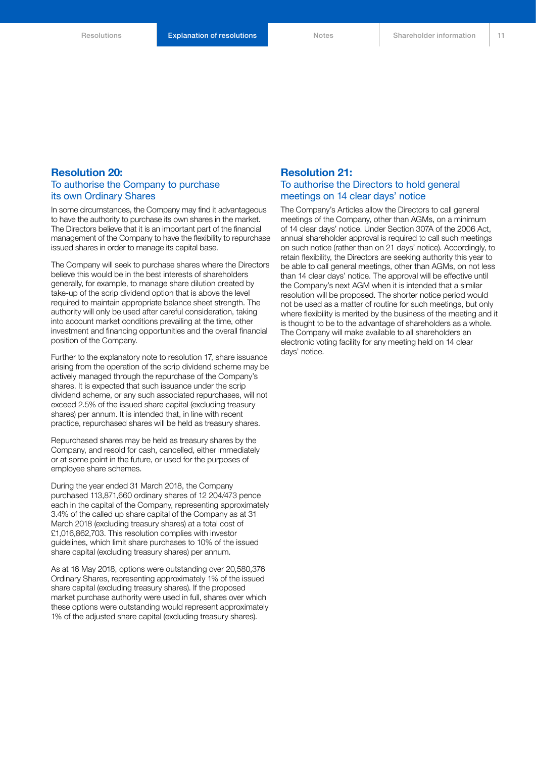#### **Resolution 20:** To authorise the Company to purchase its own Ordinary Shares

In some circumstances, the Company may find it advantageous to have the authority to purchase its own shares in the market. The Directors believe that it is an important part of the financial management of the Company to have the flexibility to repurchase issued shares in order to manage its capital base.

The Company will seek to purchase shares where the Directors believe this would be in the best interests of shareholders generally, for example, to manage share dilution created by take-up of the scrip dividend option that is above the level required to maintain appropriate balance sheet strength. The authority will only be used after careful consideration, taking into account market conditions prevailing at the time, other investment and financing opportunities and the overall financial position of the Company.

Further to the explanatory note to resolution 17, share issuance arising from the operation of the scrip dividend scheme may be actively managed through the repurchase of the Company's shares. It is expected that such issuance under the scrip dividend scheme, or any such associated repurchases, will not exceed 2.5% of the issued share capital (excluding treasury shares) per annum. It is intended that, in line with recent practice, repurchased shares will be held as treasury shares.

Repurchased shares may be held as treasury shares by the Company, and resold for cash, cancelled, either immediately or at some point in the future, or used for the purposes of employee share schemes.

During the year ended 31 March 2018, the Company purchased 113,871,660 ordinary shares of 12 204/473 pence each in the capital of the Company, representing approximately 3.4% of the called up share capital of the Company as at 31 March 2018 (excluding treasury shares) at a total cost of £1,016,862,703. This resolution complies with investor guidelines, which limit share purchases to 10% of the issued share capital (excluding treasury shares) per annum.

As at 16 May 2018, options were outstanding over 20,580,376 Ordinary Shares, representing approximately 1% of the issued share capital (excluding treasury shares). If the proposed market purchase authority were used in full, shares over which these options were outstanding would represent approximately 1% of the adjusted share capital (excluding treasury shares).

#### **Resolution 21:**

#### To authorise the Directors to hold general meetings on 14 clear days' notice

The Company's Articles allow the Directors to call general meetings of the Company, other than AGMs, on a minimum of 14 clear days' notice. Under Section 307A of the 2006 Act, annual shareholder approval is required to call such meetings on such notice (rather than on 21 days' notice). Accordingly, to retain flexibility, the Directors are seeking authority this year to be able to call general meetings, other than AGMs, on not less than 14 clear days' notice. The approval will be effective until the Company's next AGM when it is intended that a similar resolution will be proposed. The shorter notice period would not be used as a matter of routine for such meetings, but only where flexibility is merited by the business of the meeting and it is thought to be to the advantage of shareholders as a whole. The Company will make available to all shareholders an electronic voting facility for any meeting held on 14 clear days' notice.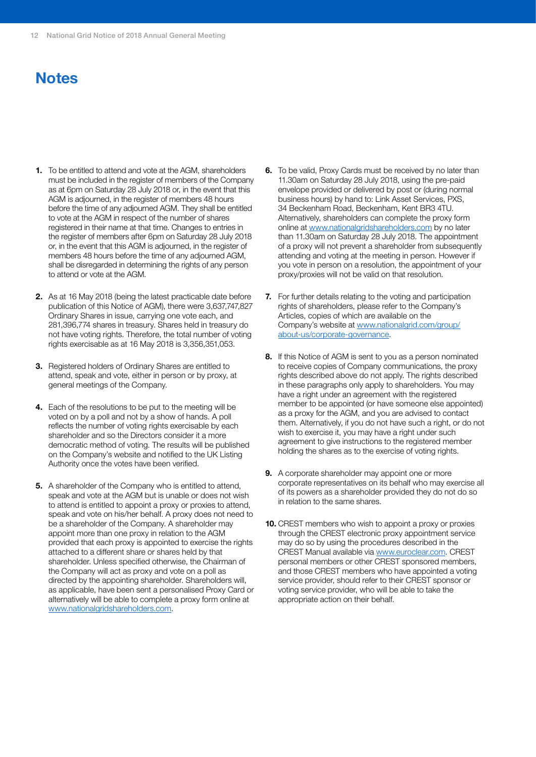# **Notes**

- **1.** To be entitled to attend and vote at the AGM, shareholders must be included in the register of members of the Company as at 6pm on Saturday 28 July 2018 or, in the event that this AGM is adjourned, in the register of members 48 hours before the time of any adjourned AGM. They shall be entitled to vote at the AGM in respect of the number of shares registered in their name at that time. Changes to entries in the register of members after 6pm on Saturday 28 July 2018 or, in the event that this AGM is adjourned, in the register of members 48 hours before the time of any adjourned AGM, shall be disregarded in determining the rights of any person to attend or vote at the AGM.
- **2.** As at 16 May 2018 (being the latest practicable date before publication of this Notice of AGM), there were 3,637,747,827 Ordinary Shares in issue, carrying one vote each, and 281,396,774 shares in treasury. Shares held in treasury do not have voting rights. Therefore, the total number of voting rights exercisable as at 16 May 2018 is 3,356,351,053.
- **3.** Registered holders of Ordinary Shares are entitled to attend, speak and vote, either in person or by proxy, at general meetings of the Company.
- **4.** Each of the resolutions to be put to the meeting will be voted on by a poll and not by a show of hands. A poll reflects the number of voting rights exercisable by each shareholder and so the Directors consider it a more democratic method of voting. The results will be published on the Company's website and notified to the UK Listing Authority once the votes have been verified.
- **5.** A shareholder of the Company who is entitled to attend, speak and vote at the AGM but is unable or does not wish to attend is entitled to appoint a proxy or proxies to attend, speak and vote on his/her behalf. A proxy does not need to be a shareholder of the Company. A shareholder may appoint more than one proxy in relation to the AGM provided that each proxy is appointed to exercise the rights attached to a different share or shares held by that shareholder. Unless specified otherwise, the Chairman of the Company will act as proxy and vote on a poll as directed by the appointing shareholder. Shareholders will, as applicable, have been sent a personalised Proxy Card or alternatively will be able to complete a proxy form online at www.nationalgridshareholders.com.
- **6.** To be valid, Proxy Cards must be received by no later than 11.30am on Saturday 28 July 2018, using the pre-paid envelope provided or delivered by post or (during normal business hours) by hand to: Link Asset Services, PXS, 34 Beckenham Road, Beckenham, Kent BR3 4TU. Alternatively, shareholders can complete the proxy form online at www.nationalgridshareholders.com by no later than 11.30am on Saturday 28 July 2018. The appointment of a proxy will not prevent a shareholder from subsequently attending and voting at the meeting in person. However if you vote in person on a resolution, the appointment of your proxy/proxies will not be valid on that resolution.
- **7.** For further details relating to the voting and participation rights of shareholders, please refer to the Company's Articles, copies of which are available on the Company's website at www.nationalgrid.com/group/ about-us/corporate-governance.
- **8.** If this Notice of AGM is sent to you as a person nominated to receive copies of Company communications, the proxy rights described above do not apply. The rights described in these paragraphs only apply to shareholders. You may have a right under an agreement with the registered member to be appointed (or have someone else appointed) as a proxy for the AGM, and you are advised to contact them. Alternatively, if you do not have such a right, or do not wish to exercise it, you may have a right under such agreement to give instructions to the registered member holding the shares as to the exercise of voting rights.
- **9.** A corporate shareholder may appoint one or more corporate representatives on its behalf who may exercise all of its powers as a shareholder provided they do not do so in relation to the same shares.
- **10.** CREST members who wish to appoint a proxy or proxies through the CREST electronic proxy appointment service may do so by using the procedures described in the CREST Manual available via www.euroclear.com. CREST personal members or other CREST sponsored members, and those CREST members who have appointed a voting service provider, should refer to their CREST sponsor or voting service provider, who will be able to take the appropriate action on their behalf.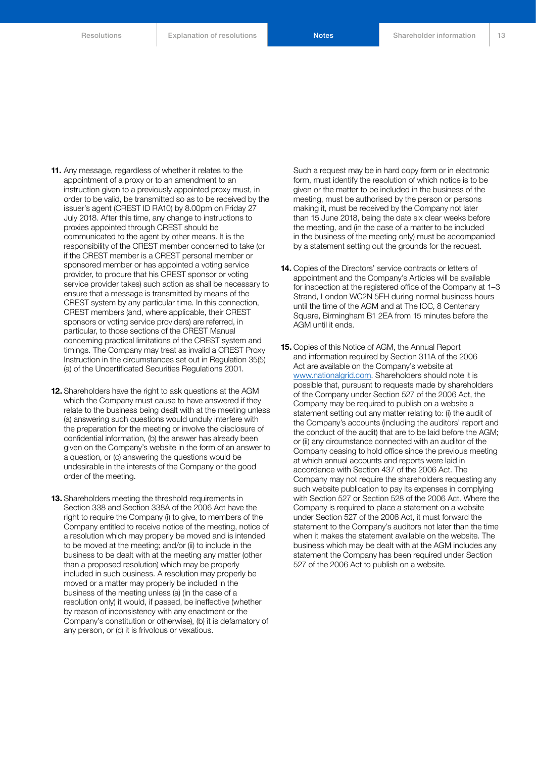**11.** Any message, regardless of whether it relates to the appointment of a proxy or to an amendment to an instruction given to a previously appointed proxy must, in order to be valid, be transmitted so as to be received by the issuer's agent (CREST ID RA10) by 8.00pm on Friday 27 July 2018. After this time, any change to instructions to proxies appointed through CREST should be communicated to the agent by other means. It is the responsibility of the CREST member concerned to take (or if the CREST member is a CREST personal member or sponsored member or has appointed a voting service provider, to procure that his CREST sponsor or voting service provider takes) such action as shall be necessary to ensure that a message is transmitted by means of the CREST system by any particular time. In this connection, CREST members (and, where applicable, their CREST sponsors or voting service providers) are referred, in particular, to those sections of the CREST Manual concerning practical limitations of the CREST system and timings. The Company may treat as invalid a CREST Proxy Instruction in the circumstances set out in Regulation 35(5) (a) of the Uncertificated Securities Regulations 2001.

- **12.** Shareholders have the right to ask questions at the AGM which the Company must cause to have answered if they relate to the business being dealt with at the meeting unless (a) answering such questions would unduly interfere with the preparation for the meeting or involve the disclosure of confidential information, (b) the answer has already been given on the Company's website in the form of an answer to a question, or (c) answering the questions would be undesirable in the interests of the Company or the good order of the meeting.
- **13.** Shareholders meeting the threshold requirements in Section 338 and Section 338A of the 2006 Act have the right to require the Company (i) to give, to members of the Company entitled to receive notice of the meeting, notice of a resolution which may properly be moved and is intended to be moved at the meeting; and/or (ii) to include in the business to be dealt with at the meeting any matter (other than a proposed resolution) which may be properly included in such business. A resolution may properly be moved or a matter may properly be included in the business of the meeting unless (a) (in the case of a resolution only) it would, if passed, be ineffective (whether by reason of inconsistency with any enactment or the Company's constitution or otherwise), (b) it is defamatory of any person, or (c) it is frivolous or vexatious.

Such a request may be in hard copy form or in electronic form, must identify the resolution of which notice is to be given or the matter to be included in the business of the meeting, must be authorised by the person or persons making it, must be received by the Company not later than 15 June 2018, being the date six clear weeks before the meeting, and (in the case of a matter to be included in the business of the meeting only) must be accompanied by a statement setting out the grounds for the request.

- **14.** Copies of the Directors' service contracts or letters of appointment and the Company's Articles will be available for inspection at the registered office of the Company at 1–3 Strand, London WC2N 5EH during normal business hours until the time of the AGM and at The ICC, 8 Centenary Square, Birmingham B1 2EA from 15 minutes before the AGM until it ends.
- **15.** Copies of this Notice of AGM, the Annual Report and information required by Section 311A of the 2006 Act are available on the Company's website at www.nationalgrid.com. Shareholders should note it is possible that, pursuant to requests made by shareholders of the Company under Section 527 of the 2006 Act, the Company may be required to publish on a website a statement setting out any matter relating to: (i) the audit of the Company's accounts (including the auditors' report and the conduct of the audit) that are to be laid before the AGM; or (ii) any circumstance connected with an auditor of the Company ceasing to hold office since the previous meeting at which annual accounts and reports were laid in accordance with Section 437 of the 2006 Act. The Company may not require the shareholders requesting any such website publication to pay its expenses in complying with Section 527 or Section 528 of the 2006 Act. Where the Company is required to place a statement on a website under Section 527 of the 2006 Act, it must forward the statement to the Company's auditors not later than the time when it makes the statement available on the website. The business which may be dealt with at the AGM includes any statement the Company has been required under Section 527 of the 2006 Act to publish on a website.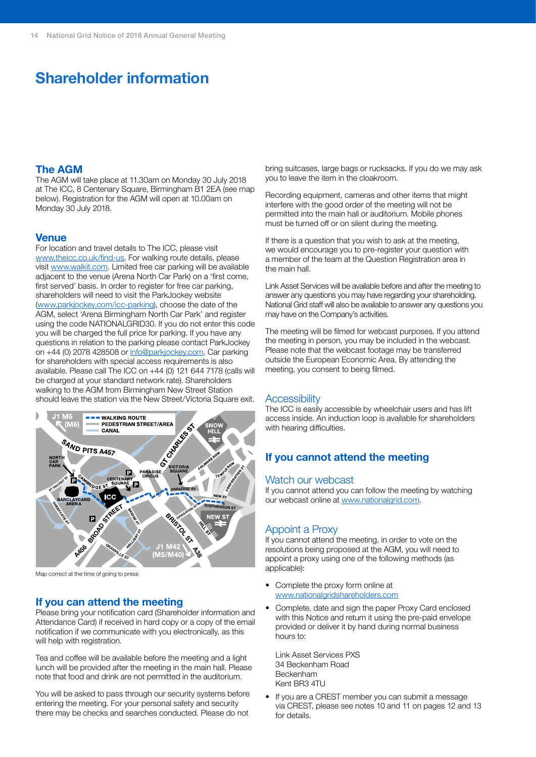# **Shareholder information**

#### **The AGM**

The AGM will take place at 11.30am on Monday 30 July 2018 at The ICC, 8 Centenary Square, Birmingham B1 2EA (see map below). Registration for the AGM will open at 10.00am on Monday 30 July 2018.

#### **Venue**

For location and travel details to The ICC, please visit www.theicc.co.uk/find-us. For walking route details, please visit www.walkit.com. Limited free car parking will be available adjacent to the venue (Arena North Car Park) on a 'first come, first served' basis. In order to register for free car parking. shareholders will need to visit the ParkJockey website (www.parkjockey.com/icc-parking), choose the date of the AGM, select 'Arena Birmingham North Car Park' and register using the code NATIONALGRID30. If you do not enter this code you will be charged the full price for parking. If you have any questions in relation to the parking please contact ParkJockey on +44 (0) 2078 428508 or info@parkjockey.com. Car parking for shareholders with special access requirements is also available. Please call The ICC on +44 (0) 121 644 7178 (calls will be charged at your standard network rate). Shareholders walking to the AGM from Birmingham New Street Station should leave the station via the New Street/Victoria Square exit.



Map correct at the time of going to press

#### **If you can attend the meeting**

Please bring your notification card (Shareholder information and Attendance Card) if received in hard copy or a copy of the email notification if we communicate with you electronically, as this will help with registration.

Tea and coffee will be available before the meeting and a light lunch will be provided after the meeting in the main hall. Please note that food and drink are not permitted in the auditorium.

You will be asked to pass through our security systems before entering the meeting. For your personal safety and security there may be checks and searches conducted. Please do not

bring suitcases, large bags or rucksacks. If you do we may ask you to leave the item in the cloakroom.

Recording equipment, cameras and other items that might interfere with the good order of the meeting will not be permitted into the main hall or auditorium. Mobile phones must be turned off or on silent during the meeting.

If there is a question that you wish to ask at the meeting, we would encourage you to pre-register your question with a member of the team at the Question Registration area in the main hall.

Link Asset Services will be available before and after the meeting to answer any questions you may have regarding your shareholding. National Grid staff will also be available to answer any questions you may have on the Company's activities.

The meeting will be filmed for webcast purposes. If you attend the meeting in person, you may be included in the webcast. Please note that the webcast footage may be transferred outside the European Economic Area. By attending the meeting, you consent to being filmed.

#### **Accessibility**

The ICC is easily accessible by wheelchair users and has lift access inside. An induction loop is available for shareholders with hearing difficulties.

### **If you cannot attend the meeting**

#### Watch our webcast

If you cannot attend you can follow the meeting by watching our webcast online at [www.nationalgrid.com.](http://www.nationalgrid.com)

#### Appoint a Proxy

If you cannot attend the meeting, in order to vote on the resolutions being proposed at the AGM, you will need to appoint a proxy using one of the following methods (as applicable):

- Complete the proxy form online a[t](http:// www.nationalgridshareholders.com) [www.nationalgridshareholders.com](http:// www.nationalgridshareholders.com)
- Complete, date and sign the paper Proxy Card enclosed with this Notice and return it using the pre-paid envelope provided or deliver it by hand during normal business hours to:

Link Asset Services PXS 34 Beckenham Road Beckenham Kent BR3 4TU

If you are a CREST member you can submit a message via CREST, please see notes 10 and 11 on pages 12 and 13 for details.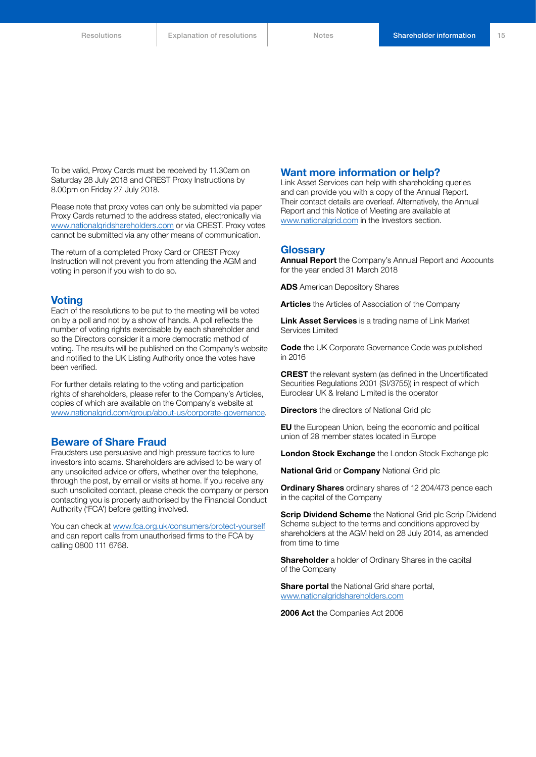To be valid, Proxy Cards must be received by 11.30am on Saturday 28 July 2018 and CREST Proxy Instructions by 8.00pm on Friday 27 July 2018.

Please note that proxy votes can only be submitted via paper Proxy Cards returned to the address stated, electronically via www.nationalgridshareholders.com or via CREST. Proxy votes cannot be submitted via any other means of communication.

The return of a completed Proxy Card or CREST Proxy Instruction will not prevent you from attending the AGM and voting in person if you wish to do so.

#### **Voting**

Each of the resolutions to be put to the meeting will be voted on by a poll and not by a show of hands. A poll reflects the number of voting rights exercisable by each shareholder and so the Directors consider it a more democratic method of voting. The results will be published on the Company's website and notified to the UK Listing Authority once the votes have been verified.

For further details relating to the voting and participation rights of shareholders, please refer to the Company's Articles, copies of which are available on the Company's website at [www.nationalgrid.com/group/about-us/corporate-governance](http://www2.nationalgrid.com/about-us/corporate-governance/).

#### **Beware of Share Fraud**

Fraudsters use persuasive and high pressure tactics to lure investors into scams. Shareholders are advised to be wary of any unsolicited advice or offers, whether over the telephone, through the post, by email or visits at home. If you receive any such unsolicited contact, please check the company or person contacting you is properly authorised by the Financial Conduct Authority ('FCA') before getting involved.

You can check at [www.fca.org.uk/consumers/protect-yourself](http://www.fca.org.uk/consumers/protect-yourself) and can report calls from unauthorised firms to the FCA by calling 0800 111 6768.

#### **Want more information or help?**

Link Asset Services can help with shareholding queries and can provide you with a copy of the Annual Report. Their contact details are overleaf. Alternatively, the Annual Report and this Notice of Meeting are available at [www.nationalgrid.com](http://www.nationalgrid.com) in the Investors section.

#### **Glossary**

**Annual Report** the Company's Annual Report and Accounts for the year ended 31 March 2018

**ADS** American Depository Shares

**Articles** the Articles of Association of the Company

**Link Asset Services** is a trading name of Link Market Services Limited

**Code** the UK Corporate Governance Code was published in 2016

**CREST** the relevant system (as defined in the Uncertificated Securities Regulations 2001 (SI/3755)) in respect of which Euroclear UK & Ireland Limited is the operator

**Directors** the directors of National Grid plc

**EU** the European Union, being the economic and political union of 28 member states located in Europe

**London Stock Exchange** the London Stock Exchange plc

**National Grid** or **Company** National Grid plc

**Ordinary Shares** ordinary shares of 12 204/473 pence each in the capital of the Company

**Scrip Dividend Scheme** the National Grid plc Scrip Dividend Scheme subject to the terms and conditions approved by shareholders at the AGM held on 28 July 2014, as amended from time to time

**Shareholder** a holder of Ordinary Shares in the capital of the Company

**Share portal** the National Grid share portal, [www.nationalgridshareholders.com](http://www.nationalgridshareholders.com)

**2006 Act** the Companies Act 2006